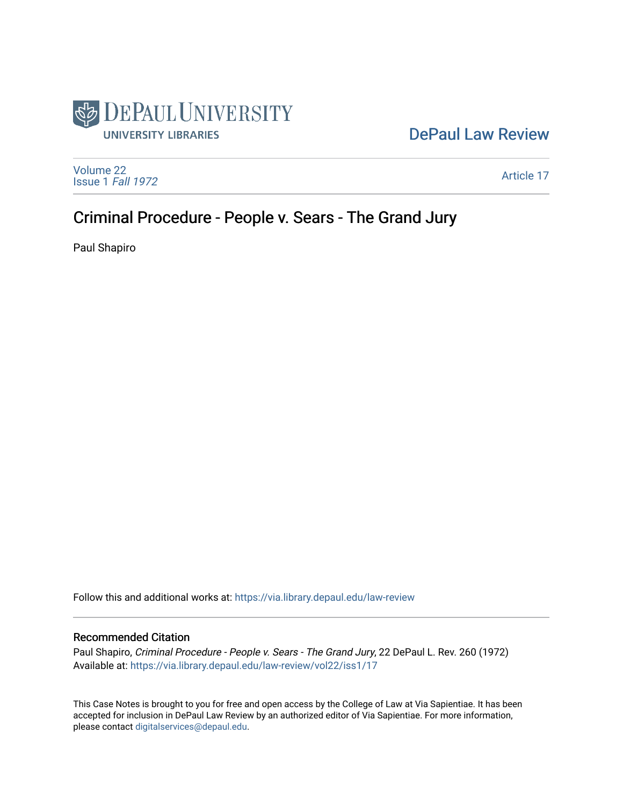

## [DePaul Law Review](https://via.library.depaul.edu/law-review)

[Volume 22](https://via.library.depaul.edu/law-review/vol22) [Issue 1](https://via.library.depaul.edu/law-review/vol22/iss1) Fall 1972

[Article 17](https://via.library.depaul.edu/law-review/vol22/iss1/17) 

# Criminal Procedure - People v. Sears - The Grand Jury

Paul Shapiro

Follow this and additional works at: [https://via.library.depaul.edu/law-review](https://via.library.depaul.edu/law-review?utm_source=via.library.depaul.edu%2Flaw-review%2Fvol22%2Fiss1%2F17&utm_medium=PDF&utm_campaign=PDFCoverPages) 

#### Recommended Citation

Paul Shapiro, Criminal Procedure - People v. Sears - The Grand Jury, 22 DePaul L. Rev. 260 (1972) Available at: [https://via.library.depaul.edu/law-review/vol22/iss1/17](https://via.library.depaul.edu/law-review/vol22/iss1/17?utm_source=via.library.depaul.edu%2Flaw-review%2Fvol22%2Fiss1%2F17&utm_medium=PDF&utm_campaign=PDFCoverPages)

This Case Notes is brought to you for free and open access by the College of Law at Via Sapientiae. It has been accepted for inclusion in DePaul Law Review by an authorized editor of Via Sapientiae. For more information, please contact [digitalservices@depaul.edu.](mailto:digitalservices@depaul.edu)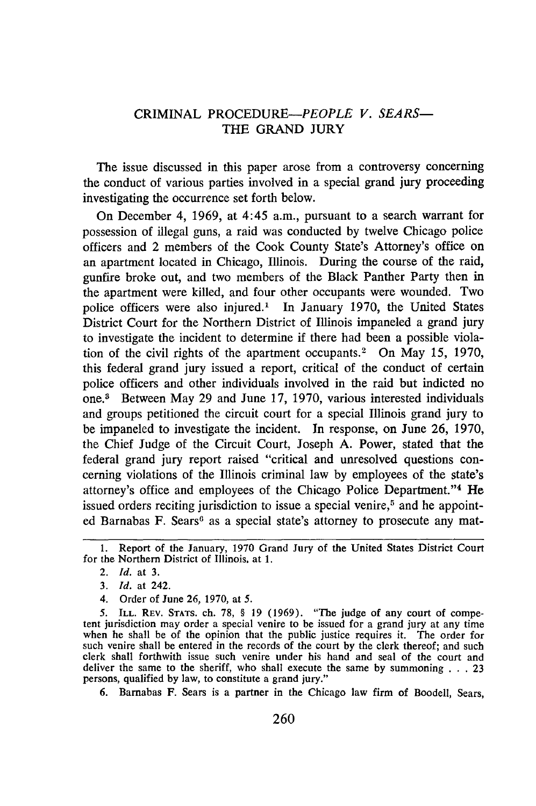### CRIMINAL *PROCEDURE-PEOPLE V. SEARS-*THE GRAND JURY

The issue discussed in this paper arose from a controversy concerning the conduct of various parties involved in a special grand jury proceeding investigating the occurrence set forth below.

On December 4, 1969, at 4:45 a.m., pursuant to a search warrant for possession of illegal guns, a raid was conducted by twelve Chicago police officers and 2 members of the Cook County State's Attorney's office on an apartment located in Chicago, Illinois. During the course of the raid, gunfire broke out, and two members of the Black Panther Party then in the apartment were killed, and four other occupants were wounded. Two police officers were also injured.' In January 1970, the United States District Court for the Northern District of Illinois impaneled a grand jury to investigate the incident to determine if there had been a possible violation of the civil rights of the apartment occupants.<sup>2</sup> On May 15, 1970, this federal grand jury issued a report, critical of the conduct of certain police officers and other individuals involved in the raid but indicted no one.3 Between May 29 and June 17, 1970, various interested individuals and groups petitioned the circuit court for a special Illinois grand jury to be impaneled to investigate the incident. In response, on June 26, 1970, the Chief Judge of the Circuit Court, Joseph A. Power, stated that the federal grand jury report raised "critical and unresolved questions concerning violations of the Illinois criminal law by employees of the state's attorney's office and employees of the Chicago Police Department."' 4 He issued orders reciting jurisdiction to issue a special venire,<sup>5</sup> and he appointed Barnabas F. Sears<sup>6</sup> as a special state's attorney to prosecute any mat-

**6.** Barnabas F. Sears is a partner in the Chicago law firm of Boodell, Sears,

<sup>1.</sup> Report of the January, 1970 Grand Jury of the United States District Court for the Northern District of Illinois, at **1.**

<sup>2.</sup> *Id.* at **3.**

*<sup>3.</sup> Id.* at 242.

<sup>4.</sup> Order of June **26, 1970,** at **5.**

**<sup>5.</sup> ILL. REV. STATS.** ch. **78,** § **19** (1969). "The judge of any court of competent jurisdiction may order a special venire to be issued for a grand jury at any time when he shall be of the opinion that the public justice requires it. The order for such venire shall be entered in the records of the court **by** the clerk thereof; and such clerk shall forthwith issue such venire under his hand and seal of the court and deliver the same to the sheriff, who shall execute the same **by** summoning **. . .**23 persons, qualified **by** law, to constitute a grand jury."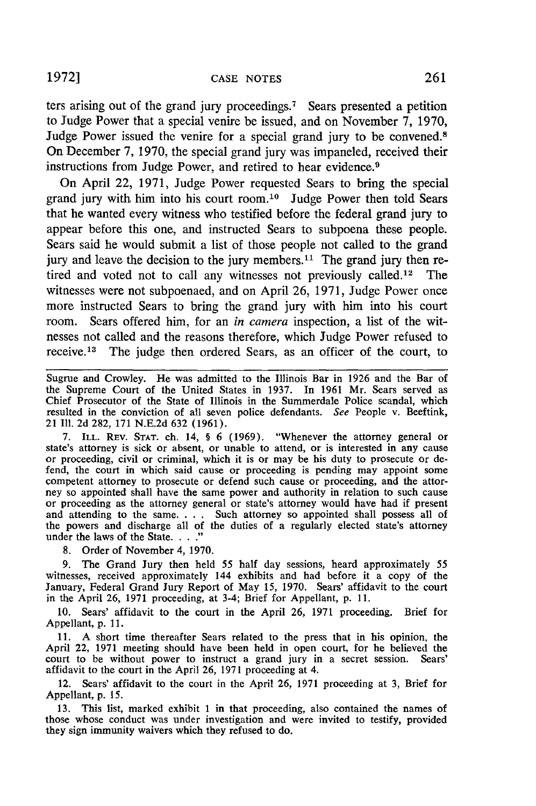ters arising out of the grand jury proceedings.<sup>7</sup> Sears presented a petition to Judge Power that a special venire be issued, and on November 7, 1970, Judge Power issued the venire for a special grand jury to be convened.<sup>8</sup> On December 7, 1970, the special grand jury was impaneled, received their instructions from Judge Power, and retired to hear evidence.<sup>9</sup>

On April 22, 1971, Judge Power requested Sears to bring the special grand jury with him into his court room.10 Judge Power then told Sears that he wanted every witness who testified before the federal grand jury to appear before this one, and instructed Sears to subpoena these people. Sears said he would submit a list of those people not called to the grand jury and leave the decision to the jury members.<sup>11</sup> The grand jury then retired and voted not to call any witnesses not previously called.<sup>12</sup> The witnesses were not subpoenaed, and on April 26, 1971, Judge Power once more instructed Sears to bring the grand jury with him into his court room. Sears offered him, for an *in camera* inspection, a list of the witnesses not called and the reasons therefore, which Judge Power refused to receive.13 The judge then ordered Sears, as an officer of the court, to

Sugrue and Crowley. He was admitted to the Illinois Bar in 1926 and the Bar of the Supreme Court of the United States in 1937. In 1961 Mr. Sears served as Chief Prosecutor of the State of Illinois in the Summerdale Police scandal, which resulted in the conviction of all seven police defendants. *See* People v. Beeftink, 21 **111.** 2d 282, 171 N.E.2d 632 (1961).

7. ILL. REV. STAT. ch. 14, § 6 (1969). "Whenever the attorney general or state's attorney is sick or absent, or unable to attend, or is interested in any cause or proceeding, civil or criminal, which it is or may be his du fend, the court in which said cause or proceeding is pending may appoint some competent attorney to prosecute or defend such cause or proceeding, and the attorney so appointed shall have the same power and authority in rel or proceeding as the attorney general or state's attorney would have had if present and attending to the same. . . . Such attorney so appointed shall possess all of the powers and discharge all of the duties of a regularly elected state's attorney under the laws of the State. . . ."

8. Order of November 4, 1970.

9. The Grand Jury then held 55 half day sessions, heard approximately 55 witnesses, received approximately 144 exhibits and had before it a copy of the January, Federal Grand Jury Report of May 15, 1970. Sears' affidavit to the court in the April 26, 1971 proceeding, at 3-4; Brief for Appellant, p. 11.

10. Sears' affidavit to the court in the April 26, 1971 proceeding. Brief for Appellant, p. 11.

11. A short time thereafter Sears related to the press that in his opinion, the April 22, 1971 meeting should have been held in open court, for he believed the court to be without power to instruct a grand jury in a secret session. Sears' affidavit to the court in the April 26, 1971 proceeding at 4.

12. Sears' affidavit to the court in the April 26, 1971 proceeding at 3, Brief for Appellant, p. *15.*

13. This list, marked exhibit 1 in that proceeding, also contained the names of those whose conduct was under investigation and were invited to testify, provided they sign immunity waivers which they refused to do.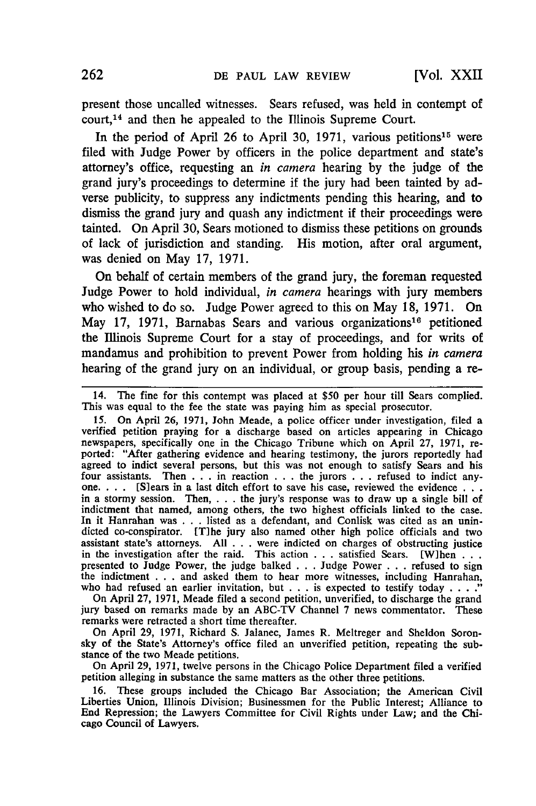present those uncalled witnesses. Sears refused, was held in contempt of court,<sup>14</sup> and then he appealed to the Illinois Supreme Court.

In the period of April 26 to April 30, 1971, various petitions<sup>15</sup> were filed with Judge Power **by** officers in the police department and state's attorney's office, requesting an *in camera* hearing **by** the judge of the grand jury's proceedings to determine if the jury had been tainted **by** adverse publicity, to suppress any indictments pending this hearing, and to dismiss the grand jury and quash any indictment if their proceedings were tainted. On April **30,** Sears motioned to dismiss these petitions on grounds of lack of jurisdiction and standing. His motion, after oral argument, was denied on May 17, 1971.

On behalf of certain members of the grand jury, the foreman requested Judge Power to hold individual, *in camera* hearings with jury members who wished to do so. Judge Power agreed to this on May 18, 1971. On May **17, 1971,** Barnabas Sears and various organizations"6 petitioned the Illinois Supreme Court for a stay of proceedings, and for writs of mandamus and prohibition to prevent Power from holding his *in camera* hearing of the grand jury on an individual, or group basis, pending a re-

**15.** On April 26, **1971,** John Meade, a police officer under investigation, filed a verified petition praying for a discharge based on articles appearing in Chicago newspapers, specifically one in the Chicago Tribune which on April 27, 1971, reported: "After gathering evidence and hearing testimony, the jurors reportedly had agreed to indict several persons, but this was not enough to satisfy Sears and his four assistants. Then . . . in reaction . . . the jurors . . . refused to indict any-<br>one. . . . [S]ears in a last ditch effort to save his case, reviewed the evidence . . . in a stormy session. Then, . **.** . the jury's response was to draw up a single bill of indictment that named, among others, the two highest officials linked to the case. In it Hanrahan was **. .** . listed as a defendant, and Conlisk was cited as an unindicted co-conspirator. [T]he jury also named other high police officials and two assistant state's attorneys. All **.** . **.** were indicted on charges of obstructing justice in the investigation after the raid. This action . . . satisfied Sears. [W]hen . . . . presented to Judge Power, the judge balked . . . Judge Power . . . refused to sign the indictment . . . and asked them to hear more wit ihe indictment . . . and asked them to hear more witnesses, including Hanrahan, who had refused an earlier invitation, but . . . is expected to testify today . . . ."

On April 27, 1971, Meade filed a second petition, unverified, to discharge the grand jury based on remarks made **by** an ABC-TV Channel **7** news commentator. These remarks were retracted a short time thereafter.

On April 29, **1971,** Richard S. Jalanec, James R. Meltreger and Sheldon Soronsky of the State's Attorney's office filed an unverified petition, repeating the substance of the two Meade petitions.

On April 29, 1971, twelve persons in the Chicago Police Department filed a verified petition alleging in substance the same matters as the other three petitions.

16. These groups included the Chicago Bar Association; the American Civil Liberties Union, Illinois Division; Businessmen for the Public Interest; Alliance to End Repression; the Lawyers Committee for Civil Rights under Law; and the Chicago Council of Lawyers.

<sup>14.</sup> The fine for this contempt was placed at **\$50** per hour till Sears complied. This was equal to the fee the state was paying him as special prosecutor.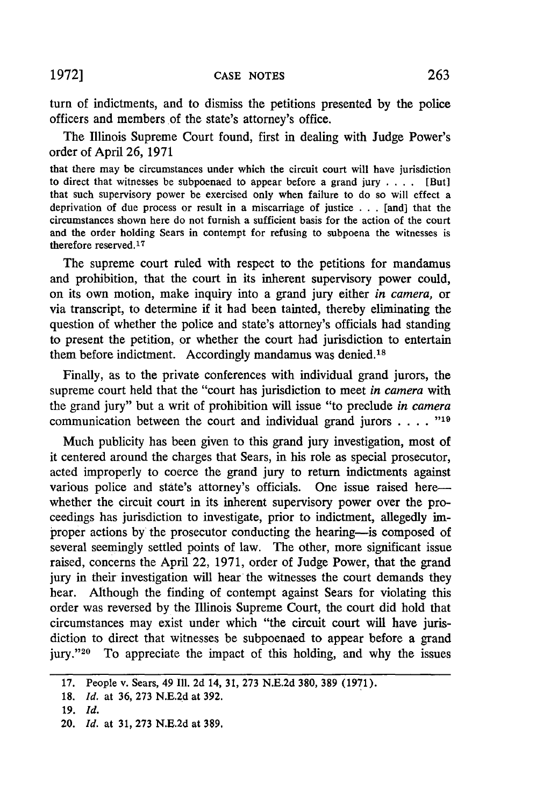turn of indictments, and to dismiss the petitions presented **by** the police officers and members of the state's attorney's office.

The Illinois Supreme Court found, first in dealing with Judge Power's order of April 26, 1971

that there may be circumstances under which the circuit court will have jurisdiction to direct that witnesses be subpoenaed to appear before a grand jury . **.** . [But] that such supervisory power be exercised only when failure to do so will effect a deprivation of due process or result in a miscarriage of justice **. . .** [and] that the circumstances shown here do not furnish a sufficient basis for the action of the court and the order holding Sears in contempt for refusing to subpoena the witnesses is therefore reserved. <sup>17</sup>

The supreme court ruled with respect to the petitions for mandamus and prohibition, that the court in its inherent supervisory power could, on its own motion, make inquiry into a grand jury either *in camera,* or via transcript, to determine if it had been tainted, thereby eliminating the question of whether the police and state's attorney's officials had standing to present the petition, or whether the court had jurisdiction to entertain them before indictment. Accordingly mandamus was denied.<sup>18</sup>

Finally, as to the private conferences with individual grand jurors, the supreme court held that the "court has jurisdiction to meet *in camera* with the grand jury" but a writ of prohibition will issue "to preclude *in camera* communication between the court and individual grand jurors **.... "19**

Much publicity has been given to this grand jury investigation, most of it centered around the charges that Sears, in his role as special prosecutor, acted improperly to coerce the grand jury to return indictments against various police and state's attorney's officials. One issue raised here whether the circuit court in its inherent supervisory power over the proceedings has jurisdiction to investigate, prior to indictment, allegedly improper actions by the prosecutor conducting the hearing-is composed of several seemingly settled points of law. The other, more significant issue raised, concerns the April 22, 1971, order of Judge Power, that the grand jury in their investigation will hear the witnesses the court demands they hear. Although the finding of contempt against Sears for violating this order was reversed by the Illinois Supreme Court, the court did hold that circumstances may exist under which "the circuit court will have jurisdiction to direct that witnesses be subpoenaed to appear before a grand jury."<sup>20</sup> To appreciate the impact of this holding, and why the issues

<sup>17.</sup> People v. Sears, 49 **111.** 2d 14, 31, 273 N.E.2d **380,** 389 (1971).

<sup>18.</sup> *Id.* at 36, 273 N.E.2d at 392.

**<sup>19.</sup>** *Id.*

<sup>20.</sup> *Id.* at 31, 273 N.E.2d at 389,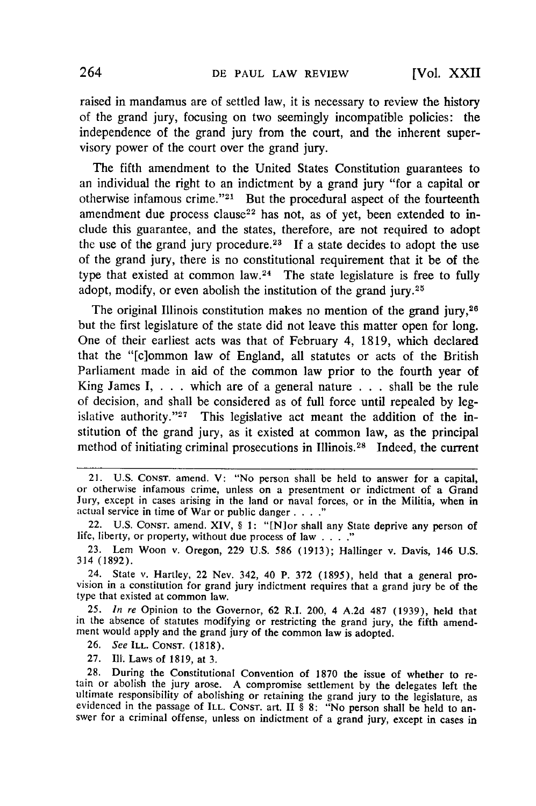raised in mandamus are of settled law, it is necessary to review the history of the grand jury, focusing on two seemingly incompatible policies: the independence of the grand jury from the court, and the inherent supervisory power of the court over the grand jury.

The fifth amendment to the United States Constitution guarantees to an individual the right to an indictment by a grand jury "for a capital or otherwise infamous crime."<sup>21</sup> But the procedural aspect of the fourteenth amendment due process clause<sup>22</sup> has not, as of yet, been extended to include this guarantee, and the states, therefore, are not required to adopt the use of the grand jury procedure.<sup>23</sup> If a state decides to adopt the use of the grand jury, there is no constitutional requirement that it be of the type that existed at common law.<sup>24</sup> The state legislature is free to fully adopt, modify, or even abolish the institution of the grand jury.<sup>25</sup>

The original Illinois constitution makes no mention of the grand jury,<sup>26</sup> but the first legislature of the state did not leave this matter open for long. One of their earliest acts was that of February 4, 1819, which declared that the "[c]ommon law of England, all statutes or acts of the British Parliament made in aid of the common law prior to the fourth year of King James I,  $\ldots$  which are of a general nature  $\ldots$  shall be the rule of decision, and shall be considered as of full force until repealed by legislative authority."<sup>27</sup> This legislative act meant the addition of the institution of the grand jury, as it existed at common law, as the principal method of initiating criminal prosecutions in Illinois.<sup>28</sup> Indeed, the current

25. *In re* Opinion to the Governor, 62 R.I. 200, 4 A.2d 487 (1939), held that in the absence of statutes modifying or restricting the grand jury, the fifth amendment would apply and the grand jury of the common law is adopted.

**26.** *See* ILL. **CONST. (1818).**

27. Ill. Laws of 1819, at 3.

28. During the Constitutional Convention of 1870 the issue of whether to re- tain or abolish the jury arose. A compromise settlement by the delegates left the ultimate responsibility of abolishing or retaining the grand jury to the legislature, as evidenced in the passage of ILL. CONST. art. II  $\frac{8}{3}$  8: "No person shall be held to answer for a criminal offense, unless on in

<sup>21.</sup> U.S. CONsT. amend. V: "No person shall be held to answer for a capital, or otherwise infamous crime, unless on a presentment or indictment of a Grand Jury, except in cases arising in the land or naval forces, or in the Militia, when in actual service in time of War or public danger **....**

<sup>22.</sup> U.S. CONsT. amend. XIV, § **1:** "[N]or shall any State deprive any person of life, liberty, or property, without due process of law **...."**

<sup>23.</sup> Lem Woon v. Oregon, 229 **U.S.** 586 (1913); Hallinger v. Davis, 146 **U.S.** 314 (1892).

<sup>24.</sup> State v. Hartley, 22 Nev. 342, 40 P. 372 (1895), held that a general pro-<br>vision in a constitution for grand jury indictment requires that a grand jury be of the type that existed at common law.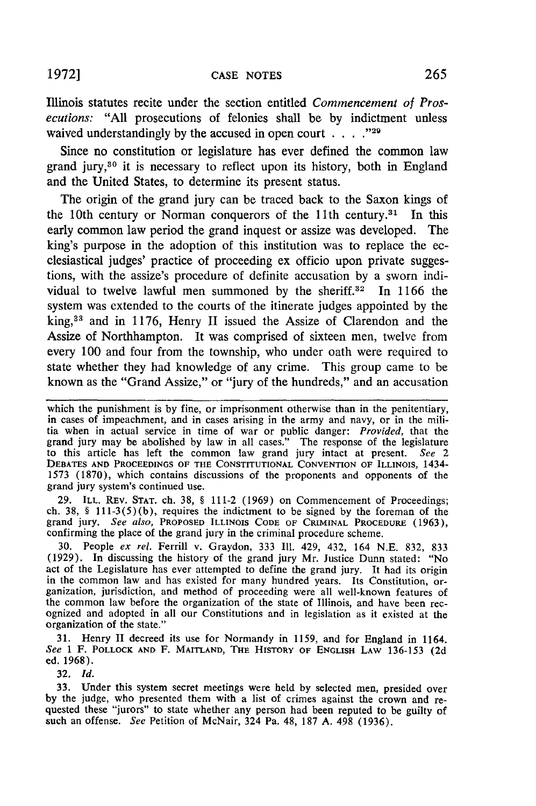1972] **CASE NOTES** 265

Illinois statutes recite under the section entitled *Commencement of Prosecutions:* "All prosecutions of felonies shall be **by** indictment unless waived understandingly **by** the accused in open court **.... -29**

Since no constitution or legislature has ever defined the common law grand jury, 30 it is necessary to reflect upon its history, both in England and the United States, to determine its present status.

The origin of the grand jury can be traced back to the Saxon kings of the 10th century or Norman conquerors of the l1th century.31 In this early common law period the grand inquest or assize was developed. The king's purpose in the adoption of this institution was to replace the ecclesiastical judges' practice of proceeding ex officio upon private suggestions, with the assize's procedure of definite accusation **by** a sworn individual to twelve lawful men summoned by the sheriff.<sup>32</sup> In 1166 the system was extended to the courts of the itinerate judges appointed **by** the king,33 and in **1176,** Henry **II** issued the Assize of Clarendon and the Assize of Northhampton. It was comprised of sixteen men, twelve from every 100 and four from the township, who under oath were required to state whether they had knowledge of any crime. This group came to be known as the "Grand Assize," or "jury of the hundreds," and an accusation

**29.** ILL. REV. STAT. ch. 38, § 111-2 (1969) on Commencement of Proceedings; **ch. 38, §** 111-3(5)(b), requires the indictment to be signed **by** the foreman of the grand jury. *See also,* PROPOSED ILLINOIS **CODE OF** CRIMINAL PROCEDURE (1963), confirming the place of the grand jury in the criminal procedure scheme.

30. People *ex rel.* Ferrill v. Graydon, 333 **Il.** 429, 432, 164 N.E. 832, **833** (1929). In discussing the history of the grand jury Mr. Justice Dunn stated: "No act of the Legislature has ever attempted to define the grand jury. It had its origin in the common law and has existed for many hundred years. Its Constitution, organization, jurisdiction, and method of proceeding were all well-known features of the common law before the organization of the state of Illinois, and have been recognized and adopted in all our Constitutions and in legislation as **it** existed at the organization of the state."

31. Henry **II** decreed its use for Normandy in **1159,** and for England in 1164. *See* **1** F. POLLOCK **AND** F. **MAITLAND,** THE HISTORY OF **ENGLISH LAW** 136-153 (2d ed. 1968).

32. *Id.*

33. Under this system secret meetings were held by selected men, presided over by the judge, who presented them with a list of crimes against the crown and requested these "jurors" to state whether any person had been reputed to be guilty of such an offense. *See* Petition of McNair, 324 Pa. 48, 187 A. 498 (1936).

which the punishment is **by** fine, or imprisonment otherwise than in the penitentiary, in cases of impeachment, and in cases arising in the army and navy, or in the militia when in actual service in time of war or public danger: *Provided,* that the grand jury may be abolished **by** law in all cases." The response of the legislature to this article has left the common law grand jury intact at present. *See 2* **DEBATES AND PROCEEDINGS** OF THE **CONSTITUTIONAL CONVENTION OF** ILLINOIS, 1434- 1573 (1870), which contains discussions of the proponents and opponents of the grand jury system's continued use.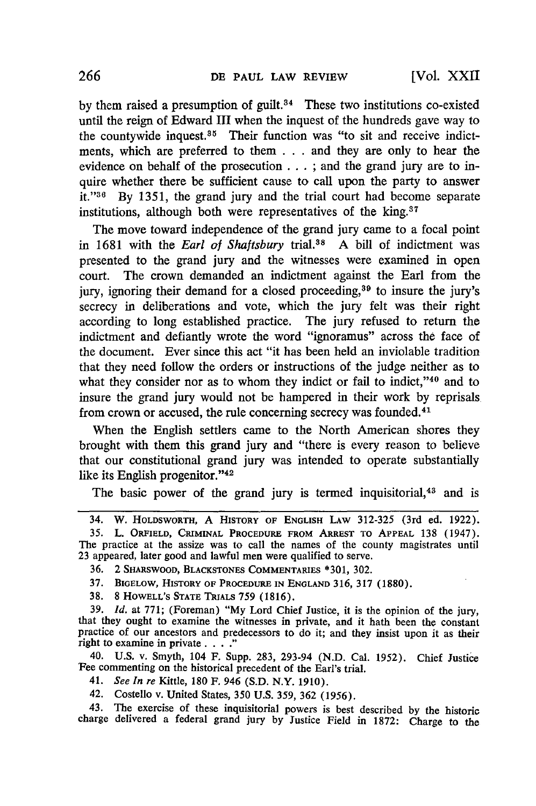**[Vol. XXII**

by them raised a presumption of guilt.<sup>34</sup> These two institutions co-existed until the reign of Edward III when the inquest of the hundreds gave way to the countywide inquest. $35$  Their function was "to sit and receive indictments, which are preferred to them .. . and they are only to hear the evidence on behalf of the prosecution ... ; and the grand jury are to inquire whether there be sufficient cause to call upon the party to answer it." $36$  By 1351, the grand jury and the trial court had become separate institutions, although both were representatives of the king.<sup>37</sup>

The move toward independence of the grand jury came to a focal point in 1681 with the *Earl of Shaftsbury* trial.38 A bill of indictment was presented to the grand jury and the witnesses were examined in open court. The crown demanded an indictment against the Earl from the jury, ignoring their demand for a closed proceeding,<sup>39</sup> to insure the jury's secrecy in deliberations and vote, which the jury felt was their right according to long established practice. The jury refused to return the indictment and defiantly wrote the word "ignoramus" across the face of the document. Ever since this act "it has been held an inviolable tradition that they need follow the orders or instructions of the judge neither as to what they consider nor as to whom they indict or fail to indict,"<sup>40</sup> and to insure the grand jury would not be hampered in their work by reprisals from crown or accused, the rule concerning secrecy was founded. <sup>41</sup>

When the English settlers came to the North American shores they brought with them this grand jury and "there is every reason to believe that our constitutional grand jury was intended to operate substantially like its English progenitor."<sup>42</sup>

The basic power of the grand jury is termed inquisitorial,<sup>43</sup> and is

**35.** L. ORFIELD, CRIMINAL PROCEDURE FROM ARREST TO **APPEAL 138** (1947). The practice at the assize was to call the names of the county magistrates until 23 appeared, later good and lawful men were qualified to serve.

40. U.S. v. Smyth, 104 F. Supp. 283, 293-94 (N.D. Cal. 1952). Chief Justice Fee commenting on the historical precedent of the Earl's trial.

- 41. *See In re* Kittle, 180 F. 946 **(S.D.** N.Y. 1910).
- 42. Costello v. United States, 350 U.S. 359, 362 (1956).

43. The exercise of these inquisitorial powers is best described by the historic charge delivered a federal grand jury by Justice Field in 1872: Charge to the

<sup>34.</sup> W. HOLDSWORTH, A HISTORY OF ENGLISH LAW 312-325 (3rd ed. 1922).

**<sup>36.</sup>** 2 SHARSWOOD, **BLACKSTONES** COMMENTARIES \*301, 302.

**<sup>37.</sup>** BIGELOw, HISTORY OF PROCEDURE **IN** ENGLAND 316, **317 (1880).**

**<sup>38.</sup>** 8 **HOWELL'S STATE** TRIALS **759** (1816).

**<sup>39.</sup>** *Id.* at **771;** (Foreman) **"My** Lord Chief Justice, it is the opinion of the jury, that they ought to examine the witnesses in private, and it hath been the constant practice of our ancestors and predecessors to do it; and they insist upon it as their right to examine in private . . .<sup>7</sup>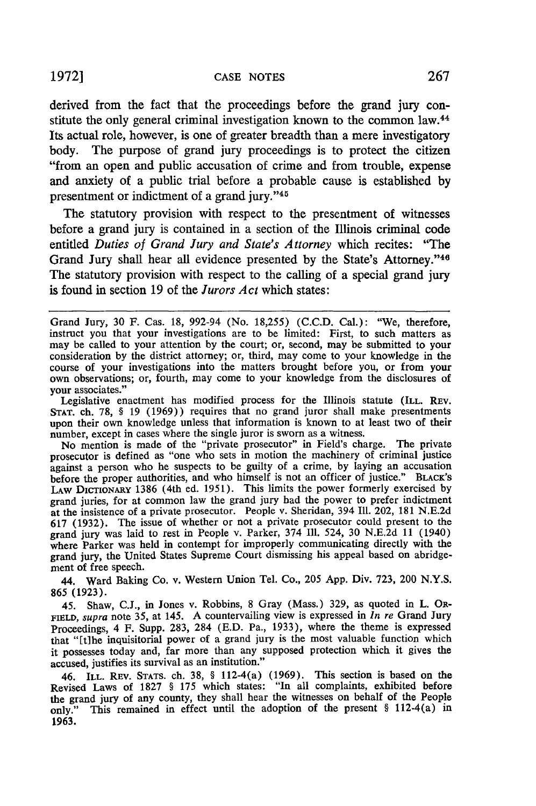derived from the fact that the proceedings before the grand jury constitute the only general criminal investigation known to the common law.<sup>44</sup> Its actual role, however, is one of greater breadth than a mere investigatory body. The purpose of grand jury proceedings is to protect the citizen "from an open and public accusation of crime and from trouble, expense and anxiety of a public trial before a probable cause is established by presentment or indictment of a grand jury."45

The statutory provision with respect to the presentment of witnesses before a grand jury is contained in a section of the Illinois criminal code entitled *Duties of Grand Jury and State's Attorney* which recites: "The Grand Jury shall hear all evidence presented by the State's Attorney."<sup>46</sup> The statutory provision with respect to the calling of a special grand jury is found in section 19 of the *Jurors Act* which states:

Legislative enactment has modified process for the Illinois statute (ILL. REV. **STAT.** ch. 78, § 19 (1969)) requires that no grand juror shall make presentments upon their own knowledge unless that information is known to at least two of their number, except in cases where the single juror is sworn as a witness.

No mention is made of the "private prosecutor" in Field's charge. The private prosecutor is defined as "one who sets in motion the machinery of criminal justice against a person who he suspects to be guilty of a crime, by laying an accusation before the proper authorities, and who himself is not an officer of justice." BLACK'S LAW DICTIONARY 1386 (4th ed. 1951). This limits the power formerly exercised by grand juries, for at common law the grand jury had the power to prefer indictment at the insistence of a private prosecutor. People v. Sheridan, 394 Ill. 202, 181 N.E.2d 617 (1932). The issue of whether or not a private prosecutor could present to the grand jury was laid to rest in People v. Parker, 374 Ill. 524, 30 N.E.2d 11 (1940) where Parker was held in contempt for improperly communicating directly with the grand jury, the United States Supreme Court dismissing his appeal based on abridgement of free speech.

44. Ward Baking Co. v. Western Union Tel. Co., 205 App. Div. 723, 200 N.Y.S. 865 (1923).

45. Shaw, C.J., in Jones v. Robbins, 8 Gray (Mass.) 329, as quoted in L. OR-FIELD, supra note 35, at 145. A countervailing view is expressed in *In re* Grand Jury Proceedings, 4 F. Supp. 283, 284 (E.D. Pa., 1933), where the theme is expressed that "[tihe inquisitorial power of a grand jury is the most valuable function which it possesses today and, far more than any supposed protection which it gives the accused, justifies its survival as an institution."

46. ILL. REV. **STATS.** ch. 38, § 112-4(a) (1969). This section is based on the Revised Laws of 1827 § 175 which states: "In all complaints, exhibited before the grand jury of any county, they shall hear the witnesses on behalf of the People only." This remained in effect until the adoption of the present § 112-4(a) in 1963.

Grand Jury, 30 F. Cas. 18, 992-94 (No. 18,255) (C.C.D. Cal.): "We, therefore, instruct you that your investigations are to be limited: First, to such matters as may be called to your attention by the court; or, second, may be submitted to your consideration by the district attorney; or, third, may come to your knowledge in the course of your investigations into the matters brought before you, or from your own observations; or, fourth, may come to your knowledge from the disclosures of your associates."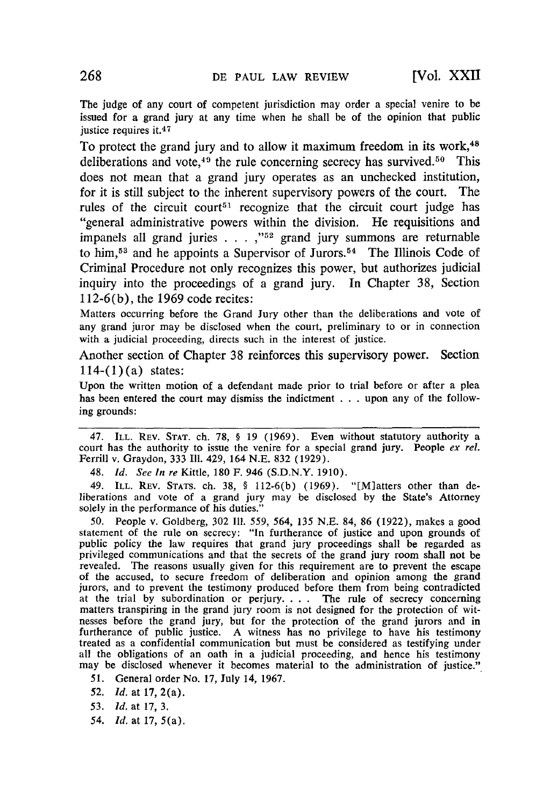The judge of any court of competent jurisdiction may order a special venire to be issued for a grand jury at any time when he shall be of the opinion that public justice requires it.<sup>47</sup>

To protect the grand jury and to allow it maximum freedom in its work,<sup>48</sup> deliberations and vote,  $49$  the rule concerning secrecy has survived. <sup>50</sup> This does not mean that a grand jury operates as an unchecked institution, for it is still subject to the inherent supervisory powers of the court. The rules of the circuit court<sup>51</sup> recognize that the circuit court judge has "general administrative powers within the division. He requisitions and impanels all grand juries . . . ,"<sup>52</sup> grand jury summons are returnable to him,<sup>53</sup> and he appoints a Supervisor of Jurors.<sup>54</sup> The Illinois Code of Criminal Procedure not only recognizes this power, but authorizes judicial inquiry into the proceedings of a grand jury. In Chapter 38, Section **112-6(b),** the 1969 code recites:

Matters occurring before the Grand Jury other than the deliberations and vote of any grand juror may be disclosed when the court, preliminary to or in connection with a judicial proceeding, directs such in the interest of justice.

Another section of Chapter 38 reinforces this supervisory power. Section  $114-(1)(a)$  states:

Upon the written motion of a defendant made prior to trial before or after a plea has been entered the court may dismiss the indictment . .. upon any of the following grounds:

47. ILL. REV. **STAT.** ch. 78, § 19 (1969). Even without statutory authority a court has the authority to issue the venire for a special grand jury. People *ex rel.* Ferrill v. Graydon, 333 Il. 429, 164 N.E. 832 (1929).

48. *Id. See In re* Kittle, 180 F. 946 (S.D.N.Y. 1910).

49. ILL. REV. **STATS.** ch. 38, § 112-6(b) (1969). "[M]atters other than deliberations and vote of a grand jury may be disclosed by the State's Attorney solely in the performance of his duties."

50. People v. Goldberg, 302 Ill. 559, 564, 135 N.E. 84, 86 (1922), makes a good statement of the rule on secrecy: "In furtherance of justice and upon grounds of public policy the law requires that grand jury proceedings shall be regarded as privileged communications and that the secrets of the grand jury room shall not be revealed. The reasons usually given for this requirement are to prevent the escape of the accused, to secure freedom of deliberation and opinion among the grand jurors, and to prevent the testimony produced before them from being contradicted at the trial by subordination or perjury. . . . The rule of secrecy concerning matters transpiring in the grand jury room is not designed for the protection of witnesses before the grand jury, but for the protection of the grand jurors and in furtherance of public justice. A witness has no privilege to have his testimony treated as a confidential communication but must be considered as testifying under all the obligations of an oath in a judicial proceeding, and hence his testimony may be disclosed whenever it becomes material to the administration of justice.'

51. General order No. 17, July 14, 1967.

52. **Id,** at **17,** 2(a).

*53. Id.* at 17, 3.

*54.* Id, at 17, 5(a).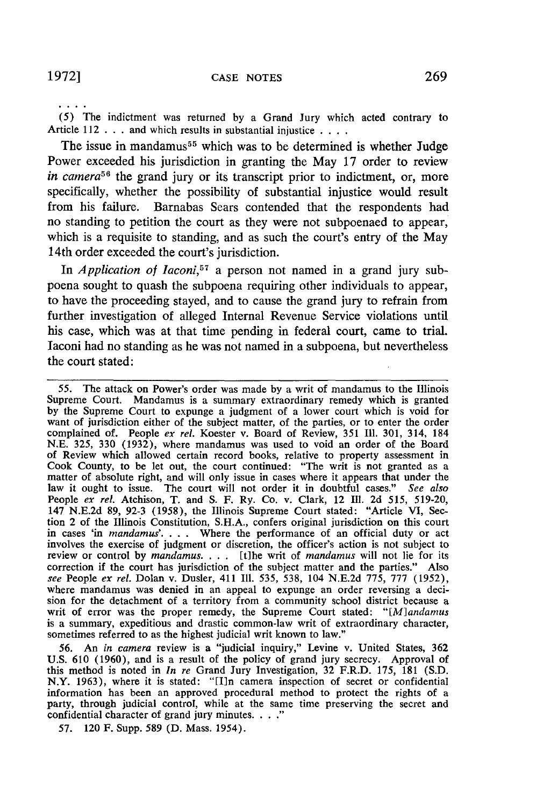(5) The indictment was returned **by** a Grand Jury which acted contrary to Article 112 . **. .**and which results in substantial injustice **....**

The issue in mandamus<sup>55</sup> which was to be determined is whether Judge Power exceeded his jurisdiction in granting the May 17 order to review *in camera*<sup>56</sup> the grand jury or its transcript prior to indictment, or, more specifically, whether the possibility of substantial injustice would result from his failure. Barnabas Sears contended that the respondents had no standing to petition the court as they were not subpoenaed to appear, which is a requisite to standing, and as such the court's entry of the May 14th order exceeded the court's jurisdiction.

In *Application of Iaconi,57* a person not named in a grand jury subpoena sought to quash the subpoena requiring other individuals to appear, to have the proceeding stayed, and to cause the grand jury to refrain from further investigation of alleged Internal Revenue Service violations until his case, which was at that time pending in federal court, came to trial. laconi had no standing as he was not named in a subpoena, but nevertheless the court stated:

55. The attack on Power's order was made by a writ of mandamus to the Illinois Supreme Court. Mandamus is a summary extraordinary remedy which is granted by the Supreme Court to expunge a judgment of a lower court which is void for want of jurisdiction either of the subject matter, of the parties, or to enter the order complained of. People *ex rel.* Koester v. Board of Review, 351 **I11.** 301, 314, 184 N.E. 325, 330 (1932), where mandamus was used to void an order of the Board of Review which allowed certain record books, relative to property assessment in Cook County, to be let out, the court continued: "The writ is not granted as a Cook County, to be let out, the court continued: "The writ is not granted as a matter of absolute right, and will only issue in cases where it appears that under the law it ought to issue. The court will not order it in doubtful cases." *See also* People *ex rel.* Atchison, T. and S. F. Ry. Co. v. Clark, 12 **Ill.** 2d 515, 519-20, 147 N.E.2d 89, 92-3 (1958), the Illinois Supreme Court stated: "Article VI, Section 2 of the Illinois Constitution, S.H.A., confers original jurisdiction on this court in cases 'in *mandamus'*.... Where the performance of an official duty or act involves the exercise of judgment or discretion, the officer's action is not subject to review or control by *mandamus...*. [t]he writ of *mandamus* will not lie for its correction if the court has jurisdiction of the subject matter and the parties." Also *see* People *ex rel.* Dolan v. Dusler, 411 Ill. 535, 538, 104 N.E.2d 775, 777 (1952), where mandamus was denied in an appeal to expunge an order reversing a deci-<br>sion for the detachment of a territory from a community school district because a writ of error was the proper remedy, the Supreme Court stated: "[M]andamus is a summary, expeditious and drastic common-law writ of extraordinary character, sometimes referred to as the highest judicial writ known to law."

56. An *in camera* review is a "judicial inquiry," Levine v. United States, 362 U.S. 610 (1960), and is a result of the policy of grand jury secrecy. Approval of this method is noted in *In re* Grand Jury Investigation, 32 F.R.D. 175, 181 (S.D. N.Y. 1963), where it is stated: "[I]n camera inspection of secret or confidential information has been an approved procedural method to protect the rights of a party, through judicial control, while at the same time preserving the secret and confidential character of grand jury minutes. . . ."

57. 120 F. Supp. 589 (D. Mass. 1954).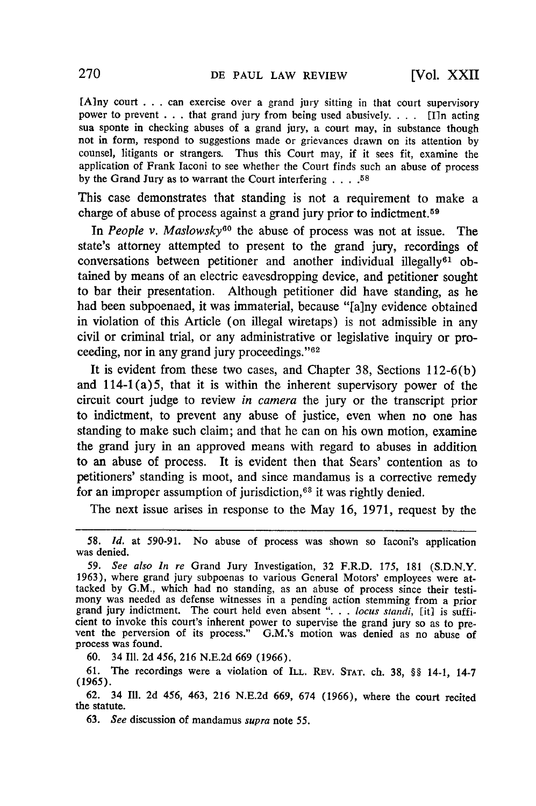[Any court . . .can exercise over a grand jury sitting in that court supervisory power to prevent . . .that grand jury from being used abusively. . **.** . [I]n acting sua sponte in checking abuses of a grand jury, a court may, in substance though not in form, respond to suggestions made or grievances drawn on its attention by counsel, litigants or strangers. Thus this Court may, if it sees fit, examine the application of Frank laconi to see whether the Court finds such an abuse of process by the Grand Jury as to warrant the Court interfering **.... <sup>58</sup>**

This case demonstrates that standing is not a requirement to make a charge of abuse of process against a grand jury prior to indictment. <sup>59</sup>

In *People v. Maslowsky*<sup>60</sup> the abuse of process was not at issue. The state's attorney attempted to present to the grand jury, recordings of conversations between petitioner and another individual illegally<sup>61</sup> obtained by means of an electric eavesdropping device, and petitioner sought to bar their presentation. Although petitioner did have standing, as he had been subpoenaed, it was immaterial, because "[a]ny evidence obtained in violation of this Article (on illegal wiretaps) is not admissible in any civil or criminal trial, or any administrative or legislative inquiry or proceeding, nor in any grand jury proceedings." $62$ 

It is evident from these two cases, and Chapter 38, Sections 112-6(b) and  $114-1(a)5$ , that it is within the inherent supervisory power of the circuit court judge to review *in camera* the jury or the transcript prior to indictment, to prevent any abuse of justice, even when no one has standing to make such claim; and that he can on his own motion, examine the grand jury in an approved means with regard to abuses in addition to an abuse of process. It is evident then that Sears' contention as to petitioners' standing is moot, and since mandamus is a corrective remedy for an improper assumption of jurisdiction,  $63$  it was rightly denied.

The next issue arises in response to the May 16, 1971, request by the

60. 34 Ill. 2d 456, 216 N.E.2d 669 (1966).

<sup>58.</sup> *Id.* at 590-91. No abuse of process was shown so Iaconi's application was denied.

*<sup>59.</sup> See also In re* Grand Jury Investigation, 32 F.R.D. 175, 181 (S.D.N.Y. 1963), where grand jury subpoenas to various General Motors' employees were attacked by G.M., which had no standing, as an abuse of process since their testimony was needed as defense witnesses in a pending action stemming from a prior grand jury indictment. The court held even absent ". . *. locus standi*, [it] is sufficient to invoke this court's inherent power to supervise the grand jury so as to prevent the perversion of its process." G.M.'s motion was denied as no abuse of process was found.

<sup>61.</sup> The recordings were a violation **of** ILL. REV. **STAT.** ch. 38, §§ 14-1, 14-7 (1965).

<sup>62. 34</sup> Ill. 2d 456, 463, 216 N.E.2d 669, 674 (1966), where the court recited the statute.

<sup>63.</sup> *See* discussion of mandamus *supra* note 55.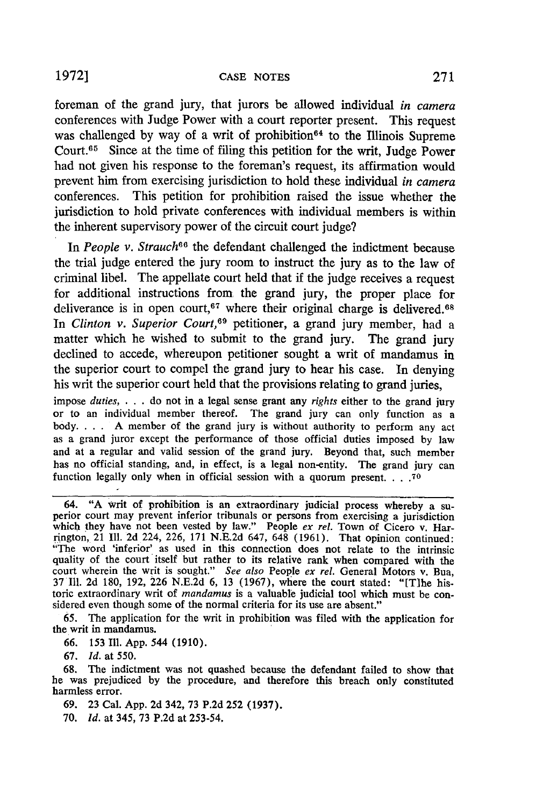foreman of the grand jury, that jurors be allowed individual *in camera* conferences with Judge Power with a court reporter present. This request was challenged by way of a writ of prohibition<sup>64</sup> to the Illinois Supreme Court.<sup>65</sup> Since at the time of filing this petition for the writ, Judge Power had not given his response to the foreman's request, its affirmation would prevent him from exercising jurisdiction to hold these individual *in camera* conferences. This petition for prohibition raised the issue whether the jurisdiction to hold private conferences with individual members is within the inherent supervisory power of the circuit court judge?

In *People v. Strauch*<sup>66</sup> the defendant challenged the indictment because the trial judge entered the jury room to instruct the jury as to the law of criminal libel. The appellate court held that if the judge receives a request for additional instructions from the grand jury, the proper place for deliverance is in open court,<sup>67</sup> where their original charge is delivered.<sup>68</sup> *In Clinton v. Superior Court,69* petitioner, a grand jury member, had a matter which he wished to submit to the grand jury. The grand jury declined to accede, whereupon petitioner sought a writ of mandamus in the superior court to compel the grand jury to hear his case. In denying his writ the superior court held that the provisions relating to grand juries,

impose *duties ....* do not in a legal sense grant any *rights* either to the grand jury or to an individual member thereof. The grand jury can only function as a body. . **.** . **A** member of the grand jury is without authority to perform any act as a grand juror except the performance of those official duties imposed by law and at a regular and valid session of the grand jury. Beyond that, such member has no official standing, and, in effect, is a legal non-entity. The grand jury can function legally only when in official session with a quorum present **.... 70**

67. *Id.* at 550.

- 69. 23 Cal. App. 2d 342, 73 P.2d 252 **(1937).**
- 70. *Id.* at 345, 73 P.2d at 253-54.

<sup>64. &</sup>quot;A writ of prohibition is an extraordinary judicial process whereby a superior court may prevent inferior tribunals or persons from exercising a jurisdiction which they have not been vested by law." People ex rel. Town of Cicero v. Harrington, 21 Ill. 2d 224, 226, 171 N.E.2d 647, 648 (1961). That opinion continued "The word 'inferior' as used in this connection does not relate to the intrinsic quality of the court itself but rather to its relative rank when compared with the court wherein the writ is sought." *See also* People *ex rel.* General Motors v. Bua, 37 **111.** 2d 180, 192, 226 N.E.2d 6, 13 (1967), where the court stated: "[Tlhe historic extraordinary writ of *mandamus* is a valuable judicial tool which must be considered even though some of the normal criteria for its use are absent."

<sup>65.</sup> The application for the writ in prohibition was filed with the application for the writ in mandamus.

<sup>66. 153</sup> Ill. App. 544 (1910).

<sup>68.</sup> The indictment was not quashed because the defendant failed to show that he was prejudiced by the procedure, and therefore this breach only constituted harmless error.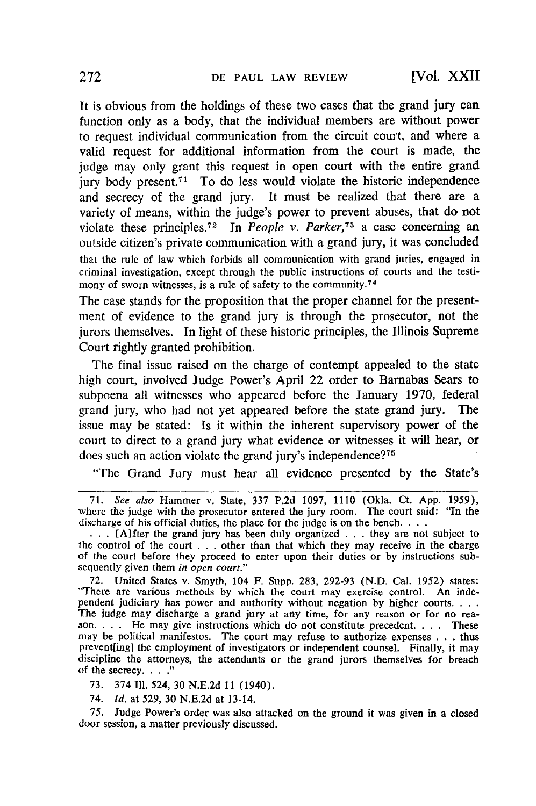It is obvious from the holdings of these two cases that the grand jury can function only as a body, that the individual members are without power to request individual communication from the circuit court, and where a valid request for additional information from the court is made, the judge may only grant this request in open court with the entire grand jury body present.<sup> $71$ </sup> To do less would violate the historic independence and secrecy of the grand jury. It must be realized that there are a variety of means, within the judge's power to prevent abuses, that do not violate these principles. 72 In *People v. Parker,73* a case concerning an outside citizen's private communication with a grand jury, it was concluded that the rule of law which forbids all communication with grand juries, engaged in criminal investigation, except through the public instructions of courts and the testimony of sworn witnesses, is a rule of safety to the community.74

The case stands for the proposition that the proper channel for the presentment of evidence to the grand jury is through the prosecutor, not the jurors themselves. In light of these historic principles, the Illinois Supreme Court rightly granted prohibition.

The final issue raised on the charge of contempt appealed to the state high court, involved Judge Power's April 22 order to Barnabas Sears to subpoena all witnesses who appeared before the January 1970, federal grand jury, who had not yet appeared before the state grand jury. The issue may be stated: Is it within the inherent supervisory power of the court to direct to a grand jury what evidence or witnesses it will hear, or does such an action violate the grand jury's independence?<sup>75</sup>

"The Grand Jury must hear all evidence presented by the State's

72. United States v. Smyth, 104 F. Supp. 283, 292-93 (N.D. Cal. 1952) states: "There are various methods by which the court may exercise control. An independent judiciary has power and authority without negation by higher courts....<br>The judge may discharge a grand jury at any time, for any reason or for no reason.... He may give instructions which do not constitute preced may be political manifestos. The court may refuse to authorize expenses . ..thus prevent[ing] the employment of investigators or independent counsel. Finally, it may discipline the attorneys, the attendants or the grand jurors themselves for breach of the secrecy. **.. "**

73. 374 II1. 524, 30 N.E.2d **11** (1940).

74. *Id.* at 529, 30 N.E.2d at 13-14.

75. Judge Power's order was also attacked on the ground it was given in a closed door session, a matter previously discussed.

<sup>71.</sup> *See also* Hammer v. State, 337 P.2d 1097, 1110 (Okla. Ct. App. 1959), where the judge with the prosecutor entered the jury room. The court said: "In the discharge of his official duties, the place for the judge is on the bench....

<sup>... [</sup>A]fter the grand jury has been duly organized . . . they are not subject to the control of the court . . . other than that which they may receive in the charge of the court before they proceed to enter upon their duties or by instructions subsequently given them *in open court."*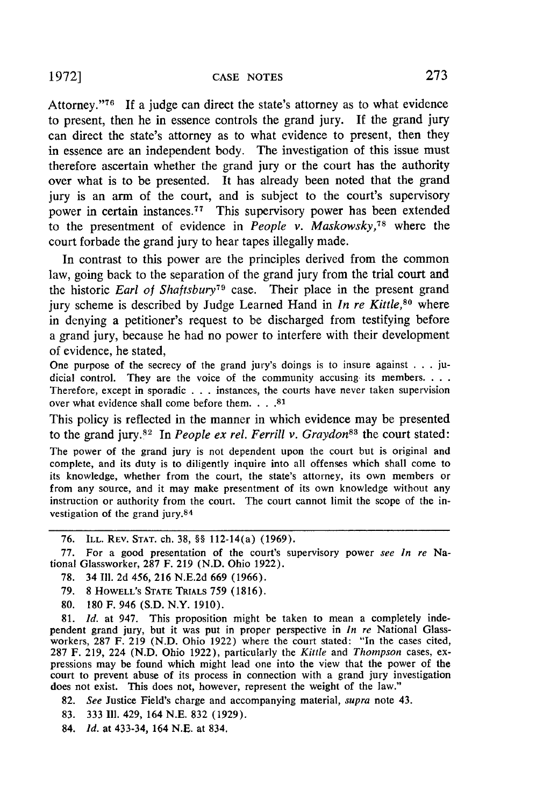Attorney."'76 **If** a judge can direct the state's attorney as to what evidence to present, then he in essence controls the grand jury. If the grand jury can direct the state's attorney as to what evidence to present, then they in essence are an independent body. The investigation of this issue must therefore ascertain whether the grand jury or the court has the authority over what is to be presented. It has already been noted that the grand jury is an arm of the court, and is subject to the court's supervisory power in certain instances.<sup>77</sup> This supervisory power has been extended to the presentment of evidence in *People v. Maskowsky, <sup>78</sup>*where the court forbade the grand jury to hear tapes illegally made.

In contrast to this power are the principles derived from the common law, going back to the separation of the grand jury from the trial court and the historic *Earl of Shaftsbury79* case. Their place in the present grand jury scheme is described by Judge Learned Hand in *In re Kittle,80* where in denying a petitioner's request to be discharged from testifying before a grand jury, because he had no power to interfere with their development of evidence, he stated,

One purpose of the secrecy of the grand jury's doings is to insure against . **.** . judicial control. They are the voice of the community accusing its members **....** Therefore, except in sporadic . . . instances, the courts have never taken supervision over what evidence shall come before them. **.... 81**

This policy is reflected in the manner in which evidence may **be** presented to the grand jury.<sup>82</sup> In *People ex rel. Ferrill v. Graydon*<sup>83</sup> the court stated:

The power of the grand jury is not dependent upon the court but is original and complete, and its duty is to diligently inquire into all offenses which shall come to its knowledge, whether from the court, the state's attorney, its own members or from any source, and it may make presentment of its own knowledge without any instruction or authority from the court. The court cannot limit the scope of the investigation of the grand jury.<sup>84</sup>

77. For a good presentation of the court's supervisory power *see In re* National Glassworker, 287 F. 219 (N.D. Ohio 1922).

- 78. 34 111. 2d 456, 216 N.E.2d 669 (1966).
- 79. 8 HOWELL'S **STATE** TRIALS 759 (1816).
- 80. 180 F. 946 (S.D. N.Y. 1910).

81. *Id.* at 947. This proposition might be taken to mean a completely independent grand jury, but it was put in proper perspective in *In re* National Glassworkers, 287 F. 219 (N.D. Ohio 1922) where the court stated: "In the cases cited, 287 F. 219, 224 (N.D. Ohio 1922), particularly the *Kittle* and *Thompson* cases, expressions may be found which might lead one into the view that the power of the court to prevent abuse of its process in connection with a grand jury investigation does not exist. This does not, however, represent the weight of the law."

82. *See* Justice Field's charge and accompanying material, *supra* note 43.

- 83. 333 **I11.** 429, 164 N.E. 832 (1929).
- 84. *id.* at 433-34, 164 N.E. at 834.

<sup>76.</sup> ILL. REV. **STAT.** ch. 38, §§ 112-14(a) (1969).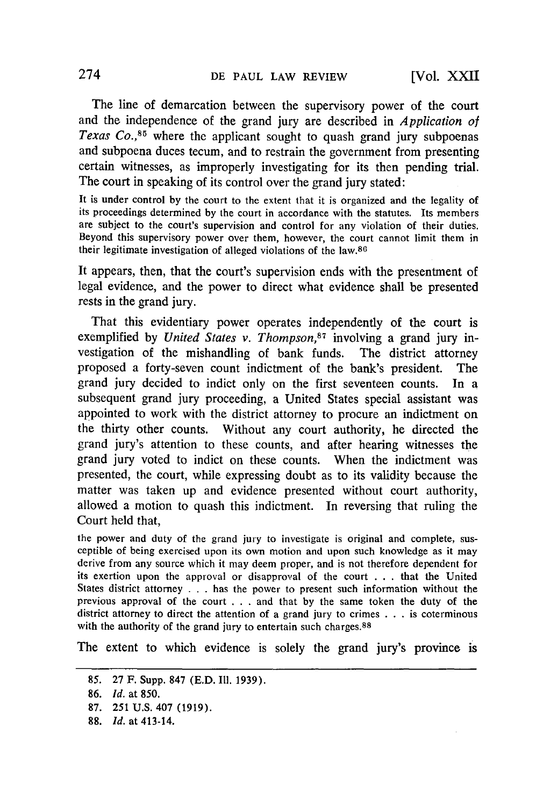The line of demarcation between the supervisory power of the court and the independence of the grand jury are described in *Application of Texas Co.*<sup>85</sup> where the applicant sought to quash grand jury subpoenas and subpoena duces tecum, and to restrain the government from presenting certain witnesses, as improperly investigating for its then pending trial. The court in speaking of its control over the grand jury stated:

It is under control **by** the court to the extent that it is organized and the legality of its proceedings determined **by** the court in accordance with the statutes. Its members are subject to the court's supervision and control for any violation of their duties. Beyond this supervisory power over them, however, the court cannot limit them in their legitimate investigation of alleged violations of the law.80

It appears, then, that the court's supervision ends with the presentment of legal evidence, and the power to direct what evidence shall be presented rests in the grand jury.

That this evidentiary power operates independently of the court is exemplified by *United States v. Thompson*,<sup>87</sup> involving a grand jury investigation of the mishandling of bank funds. The district attorney proposed a forty-seven count indictment of the bank's president. The grand jury decided to indict only on the first seventeen counts. In a subsequent grand jury proceeding, a United States special assistant was appointed to work with the district attorney to procure an indictment on the thirty other counts. Without any court authority, he directed the grand jury's attention to these counts, and after hearing witnesses the grand jury voted to indict on these counts. When the indictment was presented, the court, while expressing doubt as to its validity because the matter was taken up and evidence presented without court authority, allowed a motion to quash this indictment. In reversing that ruling the Court held that,

the power and duty of the grand jury to investigate is original and complete, susceptible of being exercised upon its own motion and upon such knowledge as it may derive from any source which it may deem proper, and is not therefore dependent for its exertion upon the approval or disapproval of the court . . . that the United States district attorney . . **.** has the power to present such information without the previous approval of the court . . . and that by the same token the duty of the district attorney to direct the attention of a grand jury to crimes . . . is coterminous with the authority of the grand jury to entertain such charges.<sup>88</sup>

The extent to which evidence is solely the grand jury's province is

<sup>85. 27</sup> F. Supp. 847 (E.D. Il1. 1939).

<sup>86.</sup> *Id.* at 850.

<sup>87. 251</sup> **U.S.** 407 **(1919).**

**<sup>88.</sup>** *Id.* at 413-14.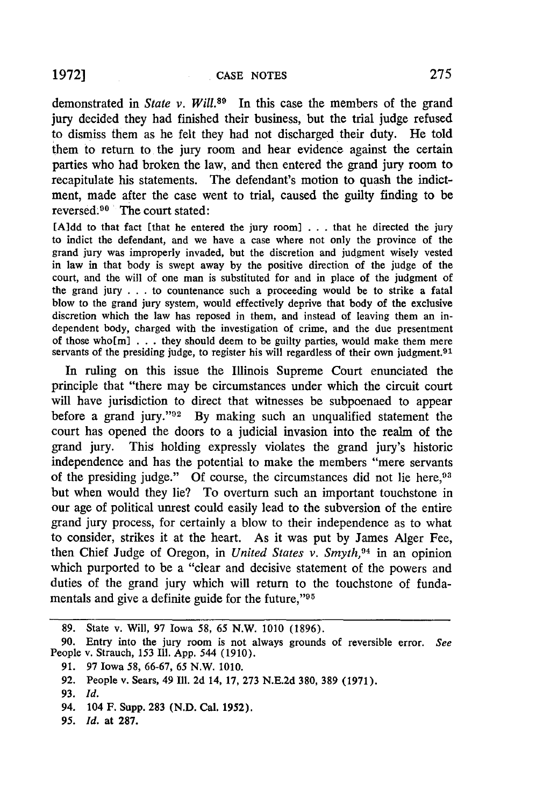demonstrated in *State v. Will.*<sup>89</sup> In this case the members of the grand jury decided they had finished their business, but the trial judge refused to dismiss them as he felt they had not discharged their duty. He told them to return to the jury room and hear evidence against the certain parties who had broken the law, and then entered the grand jury room to recapitulate his statements. The defendant's motion to quash the indictment, made after the case went to trial, caused the guilty finding to be reversed.  $90^{\circ}$  The court stated:

[Aldd to that fact [that he entered the jury room] **. . .** that he directed the jury to indict the defendant, and we have a case where not only the province of the grand jury was improperly invaded, but the discretion and judgment wisely vested in law in that body is swept away **by** the positive direction of the judge of the court, and the will of one man is substituted for and in place of the judgment of the grand jury **. . .** to countenance such a proceeding would be to strike a fatal blow to the grand jury system, would effectively deprive that body of the exclusive discretion which the law has reposed in them, and instead of leaving them an independent body, charged with the investigation of crime, and the due presentment of those who[ml **.** . **.** they should deem to be guilty parties, would make them mere servants of the presiding judge, to register his will regardless of their own judgment.<sup>91</sup>

In ruling on this issue the Illinois Supreme Court enunciated the principle that "there may be circumstances under which the circuit court will have jurisdiction to direct that witnesses be subpoenaed to appear before a grand jury."<sup>92</sup> By making such an unqualified statement the court has opened the doors to a judicial invasion into the realm of the grand jury. This holding expressly violates the grand jury's historic independence and has the potential to make the members "mere servants of the presiding judge." Of course, the circumstances did not lie here,<sup>93</sup> but when would they lie? To overturn such an important touchstone in our age of political unrest could easily lead to the subversion of the entire grand jury process, for certainly a blow to their independence as to what to consider, strikes it at the heart. As it was put **by** James Alger Fee, then Chief Judge of Oregon, in *United States v. Smyth, <sup>94</sup>*in an opinion which purported to be a "clear and decisive statement of the powers and duties of the grand jury which will return to the touchstone of fundamentals and give a definite guide for the future,"<sup>95</sup>

**<sup>89.</sup>** State v. Will, **97** Iowa 58, 65 N.W. **1010** (1896).

**<sup>90.</sup>** Entry into the jury room is not always grounds of reversible error. *See* People v. Strauch, **153** Ill. App. 544 (1910).

**<sup>91. 97</sup>** Iowa 58, 66-67, 65 N.W. **1010.**

**<sup>92.</sup>** People v. Sears, 49 **Ill.** 2d 14, **17,** 273 N.E.2d **380, 389** (1971).

**<sup>93.</sup>** *Id.*

**<sup>94. 104</sup> F.** Supp. **283 (N.D. Cal.** 1952).

**<sup>95.</sup>** *Id.* **at 287.**